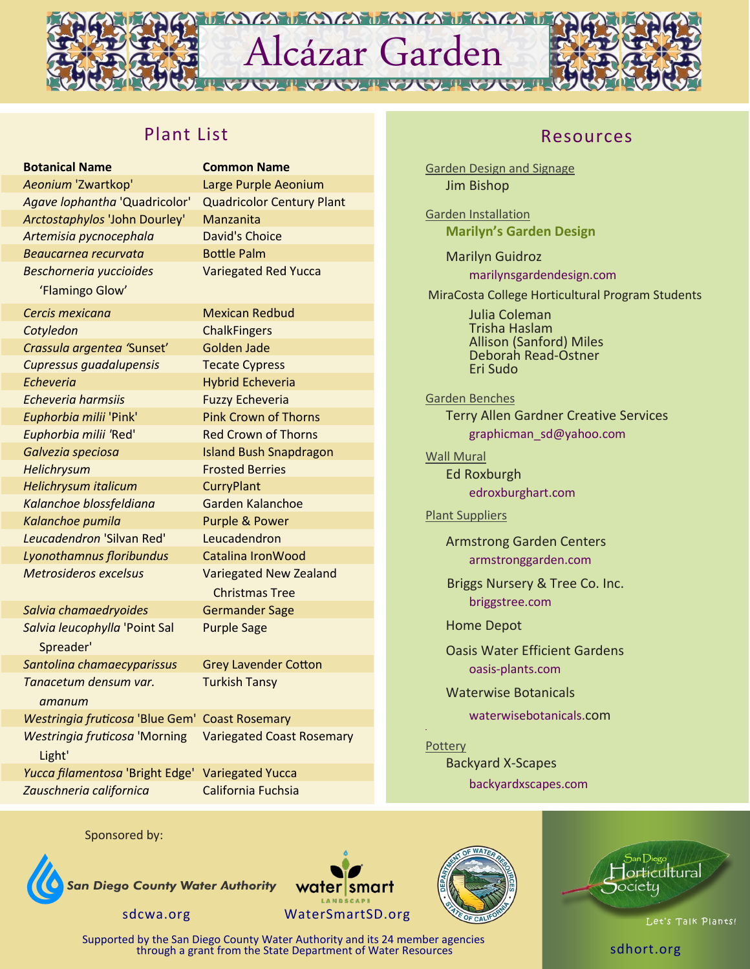

# Plant List

| <b>Botanical Name</b>                          | <b>Common Name</b>               |
|------------------------------------------------|----------------------------------|
| Aeonium 'Zwartkop'                             | Large Purple Aeonium             |
| Agave lophantha 'Quadricolor'                  | <b>Quadricolor Century Plant</b> |
| Arctostaphylos 'John Dourley'                  | Manzanita                        |
| Artemisia pycnocephala                         | <b>David's Choice</b>            |
| Beaucarnea recurvata                           | <b>Bottle Palm</b>               |
| <b>Beschorneria yuccioides</b>                 | <b>Variegated Red Yucca</b>      |
| 'Flamingo Glow'                                |                                  |
| Cercis mexicana                                | <b>Mexican Redbud</b>            |
| Cotyledon                                      | <b>ChalkFingers</b>              |
| Crassula argentea 'Sunset'                     | Golden Jade                      |
| Cupressus guadalupensis                        | <b>Tecate Cypress</b>            |
| <b>Echeveria</b>                               | <b>Hybrid Echeveria</b>          |
| <b>Echeveria harmsiis</b>                      | <b>Fuzzy Echeveria</b>           |
| Euphorbia milii 'Pink'                         | <b>Pink Crown of Thorns</b>      |
| Euphorbia milii 'Red'                          | <b>Red Crown of Thorns</b>       |
| Galvezia speciosa                              | <b>Island Bush Snapdragon</b>    |
| Helichrysum                                    | <b>Frosted Berries</b>           |
| Helichrysum italicum                           | <b>CurryPlant</b>                |
| Kalanchoe blossfeldiana                        | Garden Kalanchoe                 |
| Kalanchoe pumila                               | <b>Purple &amp; Power</b>        |
| Leucadendron 'Silvan Red'                      | Leucadendron                     |
| Lyonothamnus floribundus                       | <b>Catalina IronWood</b>         |
| <b>Metrosideros excelsus</b>                   | <b>Variegated New Zealand</b>    |
|                                                | <b>Christmas Tree</b>            |
| Salvia chamaedryoides                          | <b>Germander Sage</b>            |
| Salvia leucophylla 'Point Sal                  | <b>Purple Sage</b>               |
| Spreader'                                      |                                  |
| Santolina chamaecyparissus                     | <b>Grey Lavender Cotton</b>      |
| Tanacetum densum var.                          | <b>Turkish Tansy</b>             |
| amanum                                         |                                  |
| Westringia fruticosa 'Blue Gem' Coast Rosemary |                                  |
| <b>Westringia fruticosa 'Morning</b>           | <b>Variegated Coast Rosemary</b> |
| Light'                                         |                                  |
| Yucca filamentosa 'Bright Edge'                | <b>Variegated Yucca</b>          |
| Zauschneria californica                        | California Fuchsia               |

## Resources

Garden Design and Signage Jim Bishop

Garden Installation **Marilyn's Garden Design**

> Marilyn Guidroz marilynsgardendesign.com

MiraCosta College Horticultural Program Students

Julia Coleman Trisha Haslam Allison (Sanford) Miles Deborah Read-Ostner Eri Sudo

Garden Benches Terry Allen Gardner Creative Services [graphicman\\_sd@yahoo.com](mailto:graphicman_sd@yahoo.com)

Wall Mural Ed Roxburgh edroxburghart.com

## Plant Suppliers

Armstrong Garden Centers armstronggarden.com

Briggs Nursery & Tree Co. Inc. briggstree.com

Home Depot

Oasis Water Efficient Gardens oasis-plants.com

Waterwise Botanicals

waterwisebotanicals.com

**Pottery** Backyard X-Scapes backyardxscapes.com











Supported by the San Diego County Water Authority and its 24 member agencies through a grant from the State Department of Water Resources states sales and the State Department of Water Resources